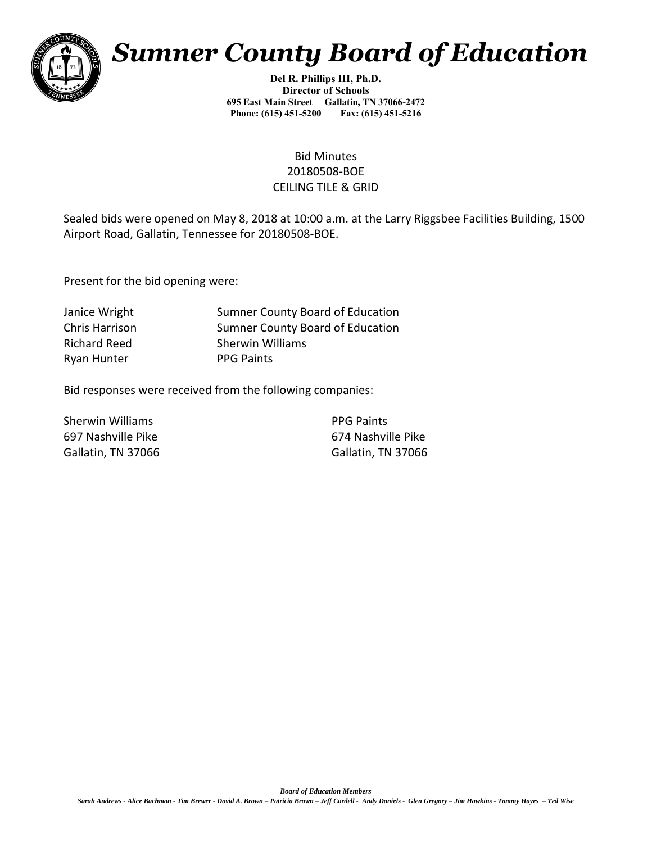

## *Sumner County Board of Education*

**Del R. Phillips III, Ph.D. Director of Schools 695 East Main Street Gallatin, TN 37066-2472 Phone: (615) 451-5200 Fax: (615) 451-5216** 

## Bid Minutes 20180508-BOE CEILING TILE & GRID

Sealed bids were opened on May 8, 2018 at 10:00 a.m. at the Larry Riggsbee Facilities Building, 1500 Airport Road, Gallatin, Tennessee for 20180508-BOE.

Present for the bid opening were:

| Sumner County Board of Education |
|----------------------------------|
| Sumner County Board of Education |
| <b>Sherwin Williams</b>          |
| <b>PPG Paints</b>                |
|                                  |

Bid responses were received from the following companies:

Sherwin Williams 697 Nashville Pike Gallatin, TN 37066 PPG Paints 674 Nashville Pike Gallatin, TN 37066